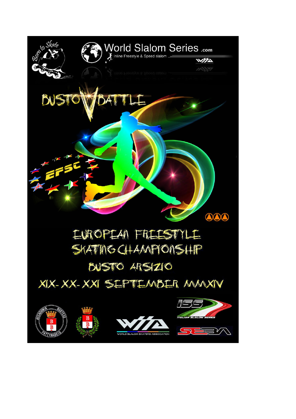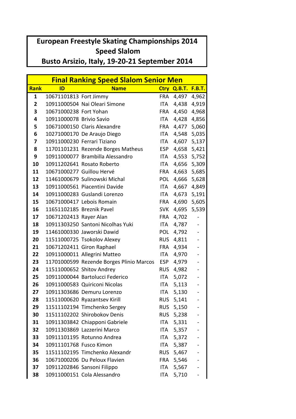## **European Freestyle Skating Championships 2014 Speed Slalom**

Busto Arsizio, Italy, 19-20-21 September 2014

| <b>Final Ranking Speed Slalom Senior Men</b> |                           |                                          |            |                    |                |
|----------------------------------------------|---------------------------|------------------------------------------|------------|--------------------|----------------|
| Rank                                         | ID                        | <b>Name</b>                              |            | Ctry Q.B.T. F.B.T. |                |
| $\mathbf{1}$                                 | 10671101813 Fort Jimmy    |                                          | <b>FRA</b> | 4,497              | 4,962          |
| $\overline{2}$                               |                           | 10911000504 Nai Oleari Simone            | <b>ITA</b> |                    | 4,438 4,919    |
| 3                                            | 10671000238 Fort Yohan    |                                          | FRA        | 4,450              | 4,968          |
| 4                                            | 10911000078 Brivio Savio  |                                          | ITA.       |                    | 4,428 4,856    |
| 5                                            |                           | 10671000150 Claris Alexandre             | <b>FRA</b> |                    | 4,477 5,060    |
| 6                                            |                           | 10271000170 De Araujo Diego              | ITA        |                    | 4,548 5,035    |
| 7                                            |                           | 10911000230 Ferrari Tiziano              | ITA        | 4,607              | 5,137          |
| 8                                            |                           | 11701101231 Rezende Borges Matheus       | <b>ESP</b> |                    | 4,658 5,421    |
| 9                                            |                           | 10911000077 Brambilla Alessandro         | ITA        |                    | 4,553 5,752    |
| 10                                           |                           | 10911202641 Rosato Roberto               | ITA        | 4,656              | 5,309          |
| 11                                           |                           | 10671000277 Guillou Hervé                | <b>FRA</b> | 4,663              | 5,685          |
| 12                                           |                           | 11461000679 Sulinowski Michal            | <b>POL</b> | 4,666              | 5,628          |
| 13                                           |                           | 10911000561 Piacentini Davide            | ITA        |                    | 4,667 4,849    |
| 14                                           |                           | 10911000283 Guslandi Lorenzo             | ITA        | 4,673              | 5,191          |
| 15                                           |                           | 10671000417 Lebois Romain                | <b>FRA</b> | 4,690              | 5,605          |
| 16                                           | 11651102185 Breznik Pavel |                                          | <b>SVK</b> | 4,695              | 5,539          |
| 17                                           | 10671202413 Rayer Alan    |                                          | <b>FRA</b> | 4,702              |                |
| 18                                           |                           | 10911303250 Santoni Nicolhas Yuki        | ITA        | 4,787              | $\overline{a}$ |
| 19                                           |                           | 11461000330 Jaworski Dawid               | <b>POL</b> | 4,792              |                |
| 20                                           |                           | 11511000725 Tsokolov Alexey              | <b>RUS</b> | 4,811              |                |
| 21                                           |                           | 10671202411 Giron Raphael                | <b>FRA</b> | 4,934              |                |
| 22                                           |                           | 10911000011 Allegrini Matteo             | ITA        | 4,970              |                |
| 23                                           |                           | 11701000599 Rezende Borges Plinio Marcos | <b>ESP</b> | 4,979              |                |
| 24                                           |                           | 11511000652 Shitov Andrey                | <b>RUS</b> | 4,982              |                |
| 25                                           |                           | 10911000044 Bartolucci Federico          | ITA        | 5,072              |                |
| 26                                           |                           | 10911000583 Quiriconi Nicolas            | <b>ITA</b> | 5,113              |                |
| 27                                           |                           | 10911303686 Demuru Lorenzo               | <b>ITA</b> | 5,130              |                |
| 28                                           |                           | 11511000620 Ryazantsev Kirill            | RUS        | 5,141              |                |
| 29                                           |                           | 11511102194 Timchenko Sergey             |            | RUS 5,150          |                |
| 30                                           |                           | 11511102202 Shirobokov Denis             |            | RUS 5,238          |                |
| 31                                           |                           | 10911303842 Chiapponi Gabriele           | ITA        | 5,331              |                |
| 32                                           |                           | 10911303869 Lazzerini Marco              | ITA        | 5,357              |                |
| 33                                           |                           | 10911101195 Rotunno Andrea               | ITA        | 5,372              |                |
| 34                                           | 10911101768 Fusco Kimon   |                                          | ITA        | 5,387              |                |
| 35                                           |                           | 11511102195 Timchenko Alexandr           | <b>RUS</b> | 5,467              |                |
| 36                                           |                           | 10671000206 Du Peloux Flavien            | FRA        | 5,546              |                |
| 37                                           |                           | 10911202846 Sansoni Filippo              | ITA        | 5,567              |                |
| 38                                           |                           | 10911000151 Cola Alessandro              | ITA        | 5,710              |                |